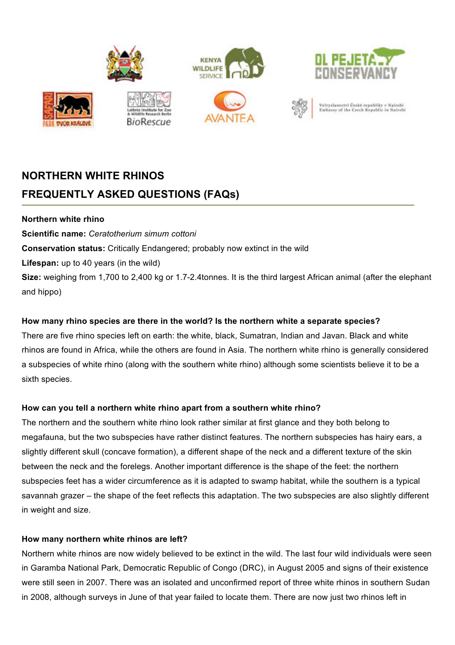

# **NORTHERN WHITE RHINOS FREQUENTLY ASKED QUESTIONS (FAQs)**

#### **Northern white rhino**

**Scientific name:** *Ceratotherium simum cottoni*

**Conservation status:** Critically Endangered; probably now extinct in the wild

**Lifespan:** up to 40 years (in the wild)

**Size:** weighing from 1,700 to 2,400 kg or 1.7-2.4tonnes. It is the third largest African animal (after the elephant and hippo)

## **How many rhino species are there in the world? Is the northern white a separate species?**

There are five rhino species left on earth: the white, black, Sumatran, Indian and Javan. Black and white rhinos are found in Africa, while the others are found in Asia. The northern white rhino is generally considered a subspecies of white rhino (along with the southern white rhino) although some scientists believe it to be a sixth species.

## **How can you tell a northern white rhino apart from a southern white rhino?**

The northern and the southern white rhino look rather similar at first glance and they both belong to megafauna, but the two subspecies have rather distinct features. The northern subspecies has hairy ears, a slightly different skull (concave formation), a different shape of the neck and a different texture of the skin between the neck and the forelegs. Another important difference is the shape of the feet: the northern subspecies feet has a wider circumference as it is adapted to swamp habitat, while the southern is a typical savannah grazer – the shape of the feet reflects this adaptation. The two subspecies are also slightly different in weight and size.

#### **How many northern white rhinos are left?**

Northern white rhinos are now widely believed to be extinct in the wild. The last four wild individuals were seen in Garamba National Park, Democratic Republic of Congo (DRC), in August 2005 and signs of their existence were still seen in 2007. There was an isolated and unconfirmed report of three white rhinos in southern Sudan in 2008, although surveys in June of that year failed to locate them. There are now just two rhinos left in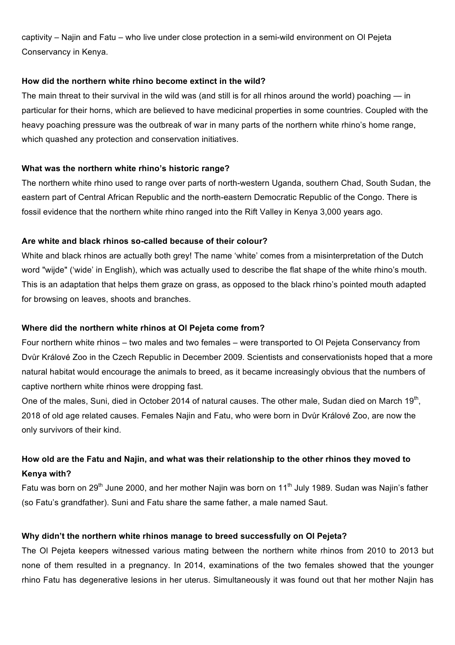captivity – Najin and Fatu – who live under close protection in a semi-wild environment on Ol Pejeta Conservancy in Kenya.

#### **How did the northern white rhino become extinct in the wild?**

The main threat to their survival in the wild was (and still is for all rhinos around the world) poaching — in particular for their horns, which are believed to have medicinal properties in some countries. Coupled with the heavy poaching pressure was the outbreak of war in many parts of the northern white rhino's home range, which quashed any protection and conservation initiatives.

### **What was the northern white rhino's historic range?**

The northern white rhino used to range over parts of north-western Uganda, southern Chad, South Sudan, the eastern part of Central African Republic and the north-eastern Democratic Republic of the Congo. There is fossil evidence that the northern white rhino ranged into the Rift Valley in Kenya 3,000 years ago.

### **Are white and black rhinos so-called because of their colour?**

White and black rhinos are actually both grey! The name 'white' comes from a misinterpretation of the Dutch word "wijde" ('wide' in English), which was actually used to describe the flat shape of the white rhino's mouth. This is an adaptation that helps them graze on grass, as opposed to the black rhino's pointed mouth adapted for browsing on leaves, shoots and branches.

#### **Where did the northern white rhinos at Ol Pejeta come from?**

Four northern white rhinos – two males and two females – were transported to Ol Pejeta Conservancy from Dvůr Králové Zoo in the Czech Republic in December 2009. Scientists and conservationists hoped that a more natural habitat would encourage the animals to breed, as it became increasingly obvious that the numbers of captive northern white rhinos were dropping fast.

One of the males, Suni, died in October 2014 of natural causes. The other male, Sudan died on March 19<sup>th</sup>, 2018 of old age related causes. Females Najin and Fatu, who were born in Dvůr Králové Zoo, are now the only survivors of their kind.

# **How old are the Fatu and Najin, and what was their relationship to the other rhinos they moved to Kenya with?**

Fatu was born on 29<sup>th</sup> June 2000, and her mother Najin was born on 11<sup>th</sup> July 1989. Sudan was Najin's father (so Fatu's grandfather). Suni and Fatu share the same father, a male named Saut.

#### **Why didn't the northern white rhinos manage to breed successfully on Ol Pejeta?**

The Ol Pejeta keepers witnessed various mating between the northern white rhinos from 2010 to 2013 but none of them resulted in a pregnancy. In 2014, examinations of the two females showed that the younger rhino Fatu has degenerative lesions in her uterus. Simultaneously it was found out that her mother Najin has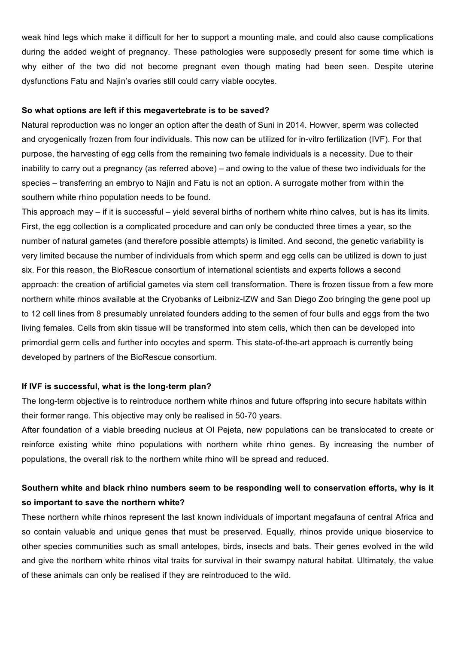weak hind legs which make it difficult for her to support a mounting male, and could also cause complications during the added weight of pregnancy. These pathologies were supposedly present for some time which is why either of the two did not become pregnant even though mating had been seen. Despite uterine dysfunctions Fatu and Najin's ovaries still could carry viable oocytes.

#### **So what options are left if this megavertebrate is to be saved?**

Natural reproduction was no longer an option after the death of Suni in 2014. Howver, sperm was collected and cryogenically frozen from four individuals. This now can be utilized for in-vitro fertilization (IVF). For that purpose, the harvesting of egg cells from the remaining two female individuals is a necessity. Due to their inability to carry out a pregnancy (as referred above) – and owing to the value of these two individuals for the species – transferring an embryo to Najin and Fatu is not an option. A surrogate mother from within the southern white rhino population needs to be found.

This approach may – if it is successful – yield several births of northern white rhino calves, but is has its limits. First, the egg collection is a complicated procedure and can only be conducted three times a year, so the number of natural gametes (and therefore possible attempts) is limited. And second, the genetic variability is very limited because the number of individuals from which sperm and egg cells can be utilized is down to just six. For this reason, the BioRescue consortium of international scientists and experts follows a second approach: the creation of artificial gametes via stem cell transformation. There is frozen tissue from a few more northern white rhinos available at the Cryobanks of Leibniz-IZW and San Diego Zoo bringing the gene pool up to 12 cell lines from 8 presumably unrelated founders adding to the semen of four bulls and eggs from the two living females. Cells from skin tissue will be transformed into stem cells, which then can be developed into primordial germ cells and further into oocytes and sperm. This state-of-the-art approach is currently being developed by partners of the BioRescue consortium.

#### **If IVF is successful, what is the long-term plan?**

The long-term objective is to reintroduce northern white rhinos and future offspring into secure habitats within their former range. This objective may only be realised in 50-70 years.

After foundation of a viable breeding nucleus at Ol Pejeta, new populations can be translocated to create or reinforce existing white rhino populations with northern white rhino genes. By increasing the number of populations, the overall risk to the northern white rhino will be spread and reduced.

# **Southern white and black rhino numbers seem to be responding well to conservation efforts, why is it so important to save the northern white?**

These northern white rhinos represent the last known individuals of important megafauna of central Africa and so contain valuable and unique genes that must be preserved. Equally, rhinos provide unique bioservice to other species communities such as small antelopes, birds, insects and bats. Their genes evolved in the wild and give the northern white rhinos vital traits for survival in their swampy natural habitat. Ultimately, the value of these animals can only be realised if they are reintroduced to the wild.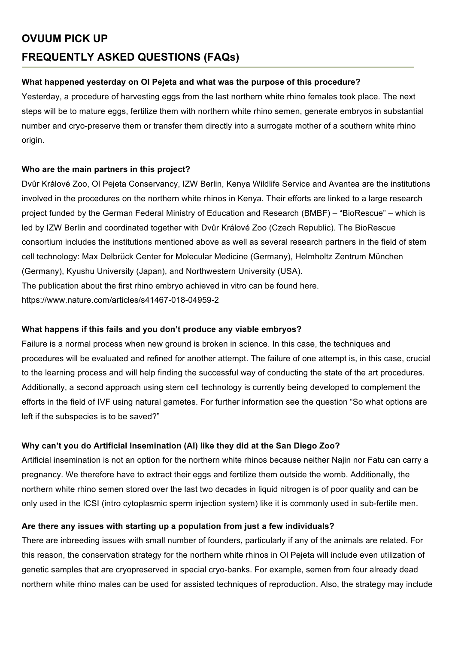# **OVUUM PICK UP FREQUENTLY ASKED QUESTIONS (FAQs)**

#### **What happened yesterday on Ol Pejeta and what was the purpose of this procedure?**

Yesterday, a procedure of harvesting eggs from the last northern white rhino females took place. The next steps will be to mature eggs, fertilize them with northern white rhino semen, generate embryos in substantial number and cryo-preserve them or transfer them directly into a surrogate mother of a southern white rhino origin.

### **Who are the main partners in this project?**

Dvůr Králové Zoo, Ol Pejeta Conservancy, IZW Berlin, Kenya Wildlife Service and Avantea are the institutions involved in the procedures on the northern white rhinos in Kenya. Their efforts are linked to a large research project funded by the German Federal Ministry of Education and Research (BMBF) – "BioRescue" – which is led by IZW Berlin and coordinated together with Dvůr Králové Zoo (Czech Republic). The BioRescue consortium includes the institutions mentioned above as well as several research partners in the field of stem cell technology: Max Delbrück Center for Molecular Medicine (Germany), Helmholtz Zentrum München (Germany), Kyushu University (Japan), and Northwestern University (USA). The publication about the first rhino embryo achieved in vitro can be found here. https://www.nature.com/articles/s41467-018-04959-2

#### **What happens if this fails and you don't produce any viable embryos?**

Failure is a normal process when new ground is broken in science. In this case, the techniques and procedures will be evaluated and refined for another attempt. The failure of one attempt is, in this case, crucial to the learning process and will help finding the successful way of conducting the state of the art procedures. Additionally, a second approach using stem cell technology is currently being developed to complement the efforts in the field of IVF using natural gametes. For further information see the question "So what options are left if the subspecies is to be saved?"

## **Why can't you do Artificial Insemination (AI) like they did at the San Diego Zoo?**

Artificial insemination is not an option for the northern white rhinos because neither Najin nor Fatu can carry a pregnancy. We therefore have to extract their eggs and fertilize them outside the womb. Additionally, the northern white rhino semen stored over the last two decades in liquid nitrogen is of poor quality and can be only used in the ICSI (intro cytoplasmic sperm injection system) like it is commonly used in sub-fertile men.

#### **Are there any issues with starting up a population from just a few individuals?**

There are inbreeding issues with small number of founders, particularly if any of the animals are related. For this reason, the conservation strategy for the northern white rhinos in Ol Pejeta will include even utilization of genetic samples that are cryopreserved in special cryo-banks. For example, semen from four already dead northern white rhino males can be used for assisted techniques of reproduction. Also, the strategy may include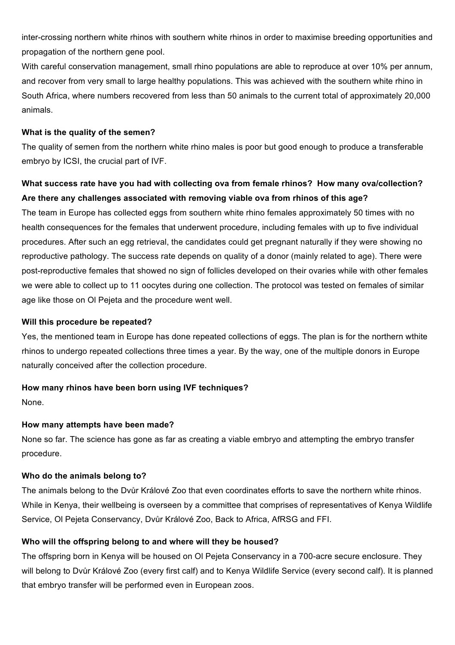inter-crossing northern white rhinos with southern white rhinos in order to maximise breeding opportunities and propagation of the northern gene pool.

With careful conservation management, small rhino populations are able to reproduce at over 10% per annum, and recover from very small to large healthy populations. This was achieved with the southern white rhino in South Africa, where numbers recovered from less than 50 animals to the current total of approximately 20,000 animals.

#### **What is the quality of the semen?**

The quality of semen from the northern white rhino males is poor but good enough to produce a transferable embryo by ICSI, the crucial part of IVF.

# **What success rate have you had with collecting ova from female rhinos? How many ova/collection? Are there any challenges associated with removing viable ova from rhinos of this age?**

The team in Europe has collected eggs from southern white rhino females approximately 50 times with no health consequences for the females that underwent procedure, including females with up to five individual procedures. After such an egg retrieval, the candidates could get pregnant naturally if they were showing no reproductive pathology. The success rate depends on quality of a donor (mainly related to age). There were post-reproductive females that showed no sign of follicles developed on their ovaries while with other females we were able to collect up to 11 oocytes during one collection. The protocol was tested on females of similar age like those on Ol Pejeta and the procedure went well.

#### **Will this procedure be repeated?**

Yes, the mentioned team in Europe has done repeated collections of eggs. The plan is for the northern wthite rhinos to undergo repeated collections three times a year. By the way, one of the multiple donors in Europe naturally conceived after the collection procedure.

#### **How many rhinos have been born using IVF techniques?**

None.

#### **How many attempts have been made?**

None so far. The science has gone as far as creating a viable embryo and attempting the embryo transfer procedure.

#### **Who do the animals belong to?**

The animals belong to the Dvůr Králové Zoo that even coordinates efforts to save the northern white rhinos. While in Kenya, their wellbeing is overseen by a committee that comprises of representatives of Kenya Wildlife Service, Ol Pejeta Conservancy, Dvůr Králové Zoo, Back to Africa, AfRSG and FFI.

#### **Who will the offspring belong to and where will they be housed?**

The offspring born in Kenya will be housed on Ol Pejeta Conservancy in a 700-acre secure enclosure. They will belong to Dvůr Králové Zoo (every first calf) and to Kenya Wildlife Service (every second calf). It is planned that embryo transfer will be performed even in European zoos.